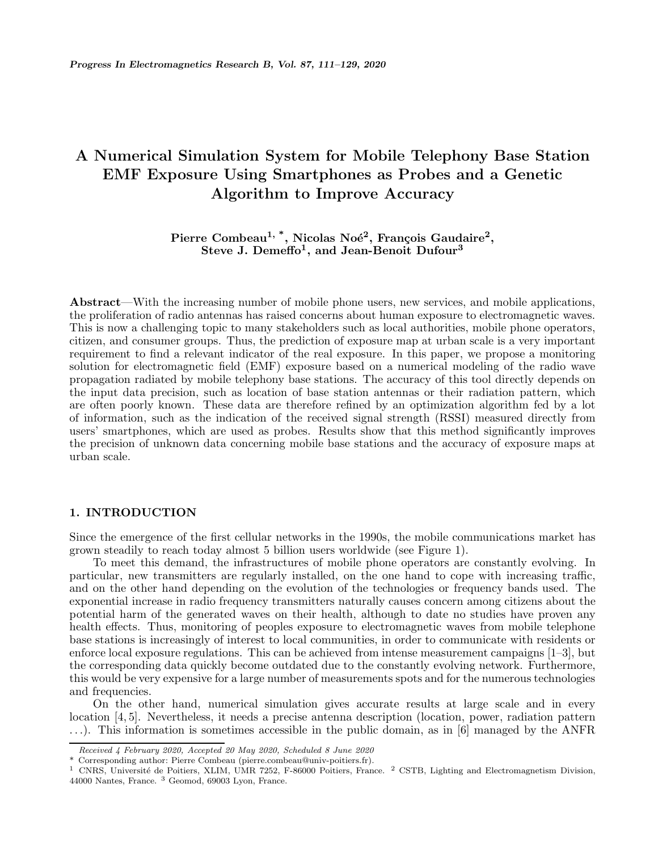# **A Numerical Simulation System for Mobile Telephony Base Station EMF Exposure Using Smartphones as Probes and a Genetic Algorithm to Improve Accuracy**

**Pierre Combeau<sup>1, \*</sup>, Nicolas Noé<sup>2</sup>, François Gaudaire<sup>2</sup>, Steve J. Demeffo1, and Jean-Benoit Dufour<sup>3</sup>**

**Abstract**—With the increasing number of mobile phone users, new services, and mobile applications, the proliferation of radio antennas has raised concerns about human exposure to electromagnetic waves. This is now a challenging topic to many stakeholders such as local authorities, mobile phone operators, citizen, and consumer groups. Thus, the prediction of exposure map at urban scale is a very important requirement to find a relevant indicator of the real exposure. In this paper, we propose a monitoring solution for electromagnetic field (EMF) exposure based on a numerical modeling of the radio wave propagation radiated by mobile telephony base stations. The accuracy of this tool directly depends on the input data precision, such as location of base station antennas or their radiation pattern, which are often poorly known. These data are therefore refined by an optimization algorithm fed by a lot of information, such as the indication of the received signal strength (RSSI) measured directly from users' smartphones, which are used as probes. Results show that this method significantly improves the precision of unknown data concerning mobile base stations and the accuracy of exposure maps at urban scale.

## **1. INTRODUCTION**

Since the emergence of the first cellular networks in the 1990s, the mobile communications market has grown steadily to reach today almost 5 billion users worldwide (see Figure 1).

To meet this demand, the infrastructures of mobile phone operators are constantly evolving. In particular, new transmitters are regularly installed, on the one hand to cope with increasing traffic, and on the other hand depending on the evolution of the technologies or frequency bands used. The exponential increase in radio frequency transmitters naturally causes concern among citizens about the potential harm of the generated waves on their health, although to date no studies have proven any health effects. Thus, monitoring of peoples exposure to electromagnetic waves from mobile telephone base stations is increasingly of interest to local communities, in order to communicate with residents or enforce local exposure regulations. This can be achieved from intense measurement campaigns [1–3], but the corresponding data quickly become outdated due to the constantly evolving network. Furthermore, this would be very expensive for a large number of measurements spots and for the numerous technologies and frequencies.

On the other hand, numerical simulation gives accurate results at large scale and in every location [4, 5]. Nevertheless, it needs a precise antenna description (location, power, radiation pattern ...). This information is sometimes accessible in the public domain, as in [6] managed by the ANFR

*Received 4 February 2020, Accepted 20 May 2020, Scheduled 8 June 2020*

<sup>\*</sup> Corresponding author: Pierre Combeau (pierre.combeau@univ-poitiers.fr).

<sup>&</sup>lt;sup>1</sup> CNRS, Université de Poitiers, XLIM, UMR 7252, F-86000 Poitiers, France. <sup>2</sup> CSTB, Lighting and Electromagnetism Division, 44000 Nantes, France. <sup>3</sup> Geomod, 69003 Lyon, France.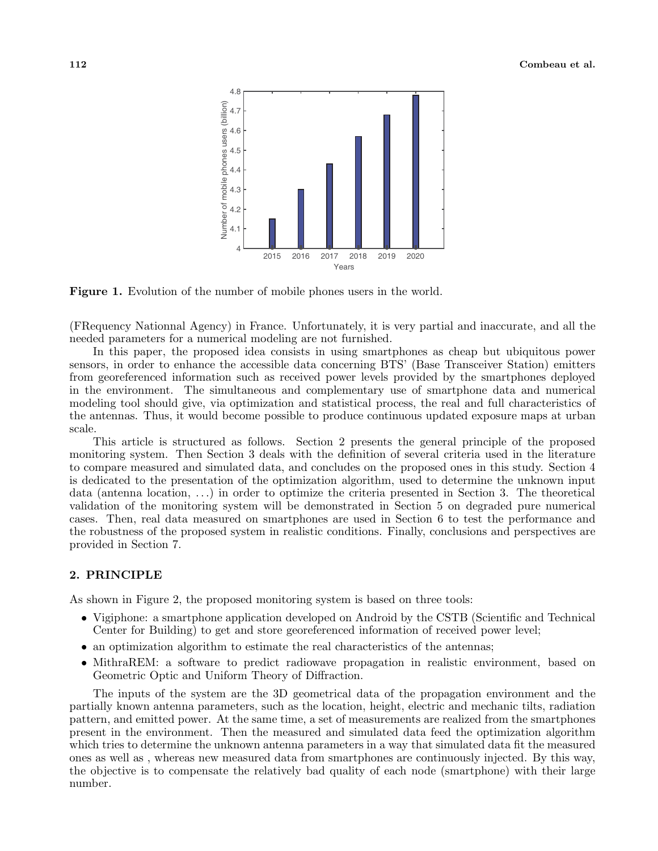

**Figure 1.** Evolution of the number of mobile phones users in the world.

(FRequency Nationnal Agency) in France. Unfortunately, it is very partial and inaccurate, and all the needed parameters for a numerical modeling are not furnished.

In this paper, the proposed idea consists in using smartphones as cheap but ubiquitous power sensors, in order to enhance the accessible data concerning BTS' (Base Transceiver Station) emitters from georeferenced information such as received power levels provided by the smartphones deployed in the environment. The simultaneous and complementary use of smartphone data and numerical modeling tool should give, via optimization and statistical process, the real and full characteristics of the antennas. Thus, it would become possible to produce continuous updated exposure maps at urban scale.

This article is structured as follows. Section 2 presents the general principle of the proposed monitoring system. Then Section 3 deals with the definition of several criteria used in the literature to compare measured and simulated data, and concludes on the proposed ones in this study. Section 4 is dedicated to the presentation of the optimization algorithm, used to determine the unknown input data (antenna location, ...) in order to optimize the criteria presented in Section 3. The theoretical validation of the monitoring system will be demonstrated in Section 5 on degraded pure numerical cases. Then, real data measured on smartphones are used in Section 6 to test the performance and the robustness of the proposed system in realistic conditions. Finally, conclusions and perspectives are provided in Section 7.

## **2. PRINCIPLE**

As shown in Figure 2, the proposed monitoring system is based on three tools:

- Vigiphone: a smartphone application developed on Android by the CSTB (Scientific and Technical Center for Building) to get and store georeferenced information of received power level;
- an optimization algorithm to estimate the real characteristics of the antennas;
- MithraREM: a software to predict radiowave propagation in realistic environment, based on Geometric Optic and Uniform Theory of Diffraction.

The inputs of the system are the 3D geometrical data of the propagation environment and the partially known antenna parameters, such as the location, height, electric and mechanic tilts, radiation pattern, and emitted power. At the same time, a set of measurements are realized from the smartphones present in the environment. Then the measured and simulated data feed the optimization algorithm which tries to determine the unknown antenna parameters in a way that simulated data fit the measured ones as well as , whereas new measured data from smartphones are continuously injected. By this way, the objective is to compensate the relatively bad quality of each node (smartphone) with their large number.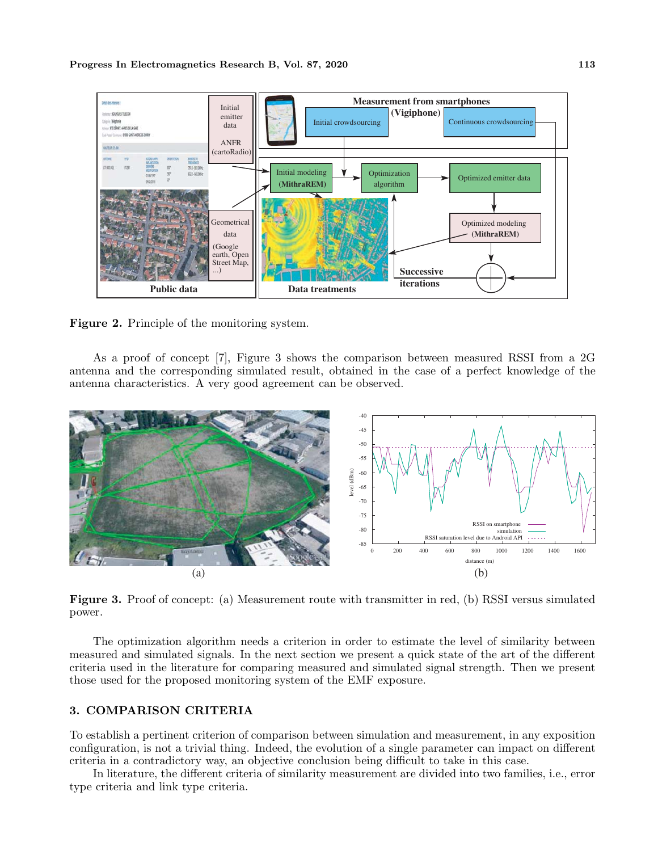

**Figure 2.** Principle of the monitoring system.

As a proof of concept [7], Figure 3 shows the comparison between measured RSSI from a 2G antenna and the corresponding simulated result, obtained in the case of a perfect knowledge of the antenna characteristics. A very good agreement can be observed.



**Figure 3.** Proof of concept: (a) Measurement route with transmitter in red, (b) RSSI versus simulated power.

The optimization algorithm needs a criterion in order to estimate the level of similarity between measured and simulated signals. In the next section we present a quick state of the art of the different criteria used in the literature for comparing measured and simulated signal strength. Then we present those used for the proposed monitoring system of the EMF exposure.

## **3. COMPARISON CRITERIA**

To establish a pertinent criterion of comparison between simulation and measurement, in any exposition configuration, is not a trivial thing. Indeed, the evolution of a single parameter can impact on different criteria in a contradictory way, an objective conclusion being difficult to take in this case.

In literature, the different criteria of similarity measurement are divided into two families, i.e., error type criteria and link type criteria.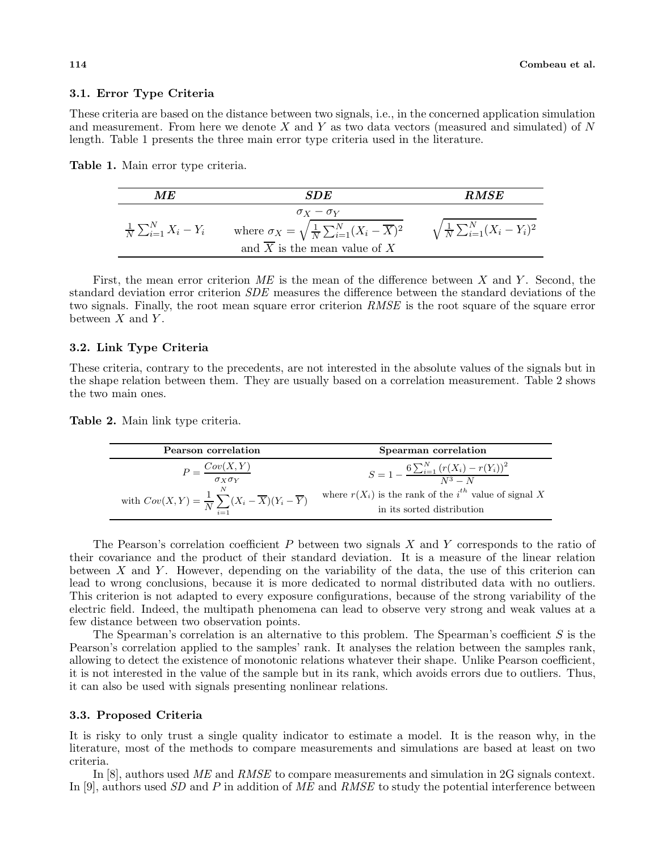#### **3.1. Error Type Criteria**

These criteria are based on the distance between two signals, i.e., in the concerned application simulation and measurement. From here we denote X and Y as two data vectors (measured and simulated) of  $N$ length. Table 1 presents the three main error type criteria used in the literature.

**Table 1.** Main error type criteria.

| ME.                                | SDE                                                                                                                                             | <b>RMSE</b>                                     |
|------------------------------------|-------------------------------------------------------------------------------------------------------------------------------------------------|-------------------------------------------------|
| $\frac{1}{N}\sum_{i=1}^{N}X_i-Y_i$ | $\sigma_X - \sigma_Y$<br>where $\sigma_X = \sqrt{\frac{1}{N} \sum_{i=1}^N (X_i - \overline{X})^2}$<br>and $\overline{X}$ is the mean value of X | $\sqrt{\frac{1}{N}\sum_{i=1}^{N}(X_i - Y_i)^2}$ |

First, the mean error criterion ME is the mean of the difference between X and Y. Second, the standard deviation error criterion *SDE* measures the difference between the standard deviations of the two signals. Finally, the root mean square error criterion *RMSE* is the root square of the square error between  $X$  and  $Y$ .

#### **3.2. Link Type Criteria**

These criteria, contrary to the precedents, are not interested in the absolute values of the signals but in the shape relation between them. They are usually based on a correlation measurement. Table 2 shows the two main ones.

**Table 2.** Main link type criteria.

| Pearson correlation                                                                    | Spearman correlation                                                                      |
|----------------------------------------------------------------------------------------|-------------------------------------------------------------------------------------------|
| $P = \frac{Cov(X, Y)}{\sigma_X \sigma_Y}$                                              | $S = 1 - \frac{6 \sum_{i=1}^{N} (r(X_i) - r(Y_i))^2}{N^3 - N}$                            |
| with $Cov(X, Y) = \frac{1}{N} \sum_{i=1}^{N} (X_i - \overline{X})(Y_i - \overline{Y})$ | where $r(X_i)$ is the rank of the $i^{th}$ value of signal $X$ in its sorted distribution |

The Pearson's correlation coefficient  $P$  between two signals  $X$  and  $Y$  corresponds to the ratio of their covariance and the product of their standard deviation. It is a measure of the linear relation between X and Y. However, depending on the variability of the data, the use of this criterion can lead to wrong conclusions, because it is more dedicated to normal distributed data with no outliers. This criterion is not adapted to every exposure configurations, because of the strong variability of the electric field. Indeed, the multipath phenomena can lead to observe very strong and weak values at a few distance between two observation points.

The Spearman's correlation is an alternative to this problem. The Spearman's coefficient S is the Pearson's correlation applied to the samples' rank. It analyses the relation between the samples rank, allowing to detect the existence of monotonic relations whatever their shape. Unlike Pearson coefficient, it is not interested in the value of the sample but in its rank, which avoids errors due to outliers. Thus, it can also be used with signals presenting nonlinear relations.

#### **3.3. Proposed Criteria**

It is risky to only trust a single quality indicator to estimate a model. It is the reason why, in the literature, most of the methods to compare measurements and simulations are based at least on two criteria.

In [8], authors used *ME* and *RMSE* to compare measurements and simulation in 2G signals context. In [9], authors used *SD* and P in addition of *ME* and *RMSE* to study the potential interference between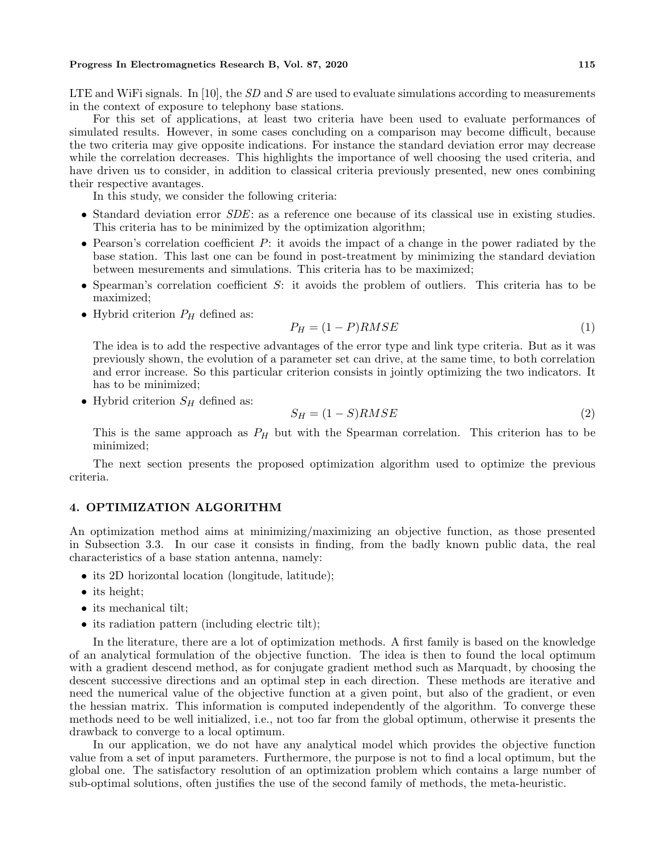#### **Progress In Electromagnetics Research B, Vol. 87, 2020** 115

LTE and WiFi signals. In [10], the *SD* and S are used to evaluate simulations according to measurements in the context of exposure to telephony base stations.

For this set of applications, at least two criteria have been used to evaluate performances of simulated results. However, in some cases concluding on a comparison may become difficult, because the two criteria may give opposite indications. For instance the standard deviation error may decrease while the correlation decreases. This highlights the importance of well choosing the used criteria, and have driven us to consider, in addition to classical criteria previously presented, new ones combining their respective avantages.

In this study, we consider the following criteria:

- Standard deviation error *SDE*: as a reference one because of its classical use in existing studies. This criteria has to be minimized by the optimization algorithm;
- Pearson's correlation coefficient  $P$ : it avoids the impact of a change in the power radiated by the base station. This last one can be found in post-treatment by minimizing the standard deviation between mesurements and simulations. This criteria has to be maximized;
- Spearman's correlation coefficient  $S$ : it avoids the problem of outliers. This criteria has to be maximized;
- Hybrid criterion  $P_H$  defined as:

$$
P_H = (1 - P)RMSE\tag{1}
$$

The idea is to add the respective advantages of the error type and link type criteria. But as it was previously shown, the evolution of a parameter set can drive, at the same time, to both correlation and error increase. So this particular criterion consists in jointly optimizing the two indicators. It has to be minimized;

• Hybrid criterion  $S_H$  defined as:

$$
S_H = (1 - S)RMSE
$$
 (2)

This is the same approach as  $P_H$  but with the Spearman correlation. This criterion has to be minimized;

The next section presents the proposed optimization algorithm used to optimize the previous criteria.

## **4. OPTIMIZATION ALGORITHM**

An optimization method aims at minimizing/maximizing an objective function, as those presented in Subsection 3.3. In our case it consists in finding, from the badly known public data, the real characteristics of a base station antenna, namely:

- its 2D horizontal location (longitude, latitude);
- its height;
- its mechanical tilt;
- its radiation pattern (including electric tilt);

In the literature, there are a lot of optimization methods. A first family is based on the knowledge of an analytical formulation of the objective function. The idea is then to found the local optimum with a gradient descend method, as for conjugate gradient method such as Marquadt, by choosing the descent successive directions and an optimal step in each direction. These methods are iterative and need the numerical value of the objective function at a given point, but also of the gradient, or even the hessian matrix. This information is computed independently of the algorithm. To converge these methods need to be well initialized, i.e., not too far from the global optimum, otherwise it presents the drawback to converge to a local optimum.

In our application, we do not have any analytical model which provides the objective function value from a set of input parameters. Furthermore, the purpose is not to find a local optimum, but the global one. The satisfactory resolution of an optimization problem which contains a large number of sub-optimal solutions, often justifies the use of the second family of methods, the meta-heuristic.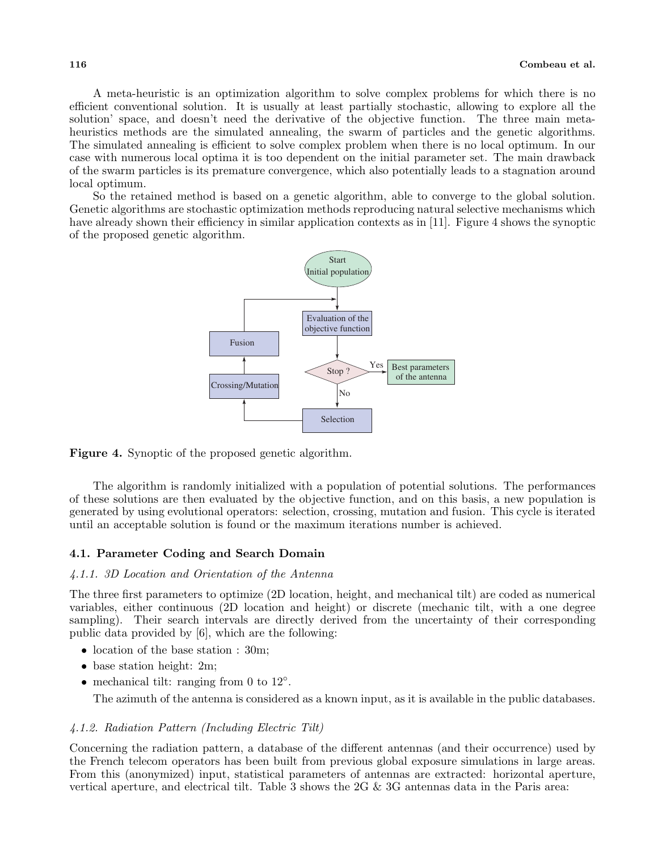A meta-heuristic is an optimization algorithm to solve complex problems for which there is no efficient conventional solution. It is usually at least partially stochastic, allowing to explore all the solution' space, and doesn't need the derivative of the objective function. The three main metaheuristics methods are the simulated annealing, the swarm of particles and the genetic algorithms. The simulated annealing is efficient to solve complex problem when there is no local optimum. In our case with numerous local optima it is too dependent on the initial parameter set. The main drawback of the swarm particles is its premature convergence, which also potentially leads to a stagnation around local optimum.

So the retained method is based on a genetic algorithm, able to converge to the global solution. Genetic algorithms are stochastic optimization methods reproducing natural selective mechanisms which have already shown their efficiency in similar application contexts as in [11]. Figure 4 shows the synoptic of the proposed genetic algorithm.



**Figure 4.** Synoptic of the proposed genetic algorithm.

The algorithm is randomly initialized with a population of potential solutions. The performances of these solutions are then evaluated by the objective function, and on this basis, a new population is generated by using evolutional operators: selection, crossing, mutation and fusion. This cycle is iterated until an acceptable solution is found or the maximum iterations number is achieved.

#### **4.1. Parameter Coding and Search Domain**

## *4.1.1. 3D Location and Orientation of the Antenna*

The three first parameters to optimize (2D location, height, and mechanical tilt) are coded as numerical variables, either continuous (2D location and height) or discrete (mechanic tilt, with a one degree sampling). Their search intervals are directly derived from the uncertainty of their corresponding public data provided by [6], which are the following:

- location of the base station : 30m;
- base station height: 2m;
- mechanical tilt: ranging from 0 to 12◦.

The azimuth of the antenna is considered as a known input, as it is available in the public databases.

#### *4.1.2. Radiation Pattern (Including Electric Tilt)*

Concerning the radiation pattern, a database of the different antennas (and their occurrence) used by the French telecom operators has been built from previous global exposure simulations in large areas. From this (anonymized) input, statistical parameters of antennas are extracted: horizontal aperture, vertical aperture, and electrical tilt. Table 3 shows the  $2G \& 3G$  antennas data in the Paris area: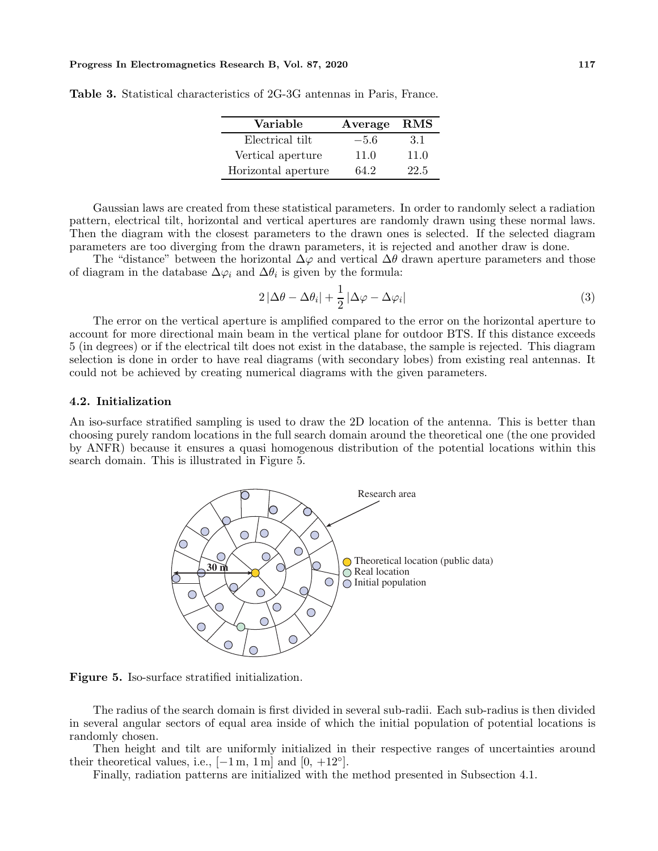| Variable            | Average | <b>RMS</b> |
|---------------------|---------|------------|
| Electrical tilt     | $-5.6$  | 3.1        |
| Vertical aperture   | 11.0    | 11.0       |
| Horizontal aperture | 64 2    | 22.5       |

**Table 3.** Statistical characteristics of 2G-3G antennas in Paris, France.

Gaussian laws are created from these statistical parameters. In order to randomly select a radiation pattern, electrical tilt, horizontal and vertical apertures are randomly drawn using these normal laws. Then the diagram with the closest parameters to the drawn ones is selected. If the selected diagram parameters are too diverging from the drawn parameters, it is rejected and another draw is done.

The "distance" between the horizontal  $\Delta\varphi$  and vertical  $\Delta\theta$  drawn aperture parameters and those of diagram in the database  $\Delta\varphi_i$  and  $\Delta\theta_i$  is given by the formula:

$$
2|\Delta\theta - \Delta\theta_i| + \frac{1}{2}|\Delta\varphi - \Delta\varphi_i|
$$
\n(3)

The error on the vertical aperture is amplified compared to the error on the horizontal aperture to account for more directional main beam in the vertical plane for outdoor BTS. If this distance exceeds 5 (in degrees) or if the electrical tilt does not exist in the database, the sample is rejected. This diagram selection is done in order to have real diagrams (with secondary lobes) from existing real antennas. It could not be achieved by creating numerical diagrams with the given parameters.

## **4.2. Initialization**

An iso-surface stratified sampling is used to draw the 2D location of the antenna. This is better than choosing purely random locations in the full search domain around the theoretical one (the one provided by ANFR) because it ensures a quasi homogenous distribution of the potential locations within this search domain. This is illustrated in Figure 5.



**Figure 5.** Iso-surface stratified initialization.

The radius of the search domain is first divided in several sub-radii. Each sub-radius is then divided in several angular sectors of equal area inside of which the initial population of potential locations is randomly chosen.

Then height and tilt are uniformly initialized in their respective ranges of uncertainties around their theoretical values, i.e.,  $[-1 \text{ m}, 1 \text{ m}]$  and  $[0, +12°]$ .

Finally, radiation patterns are initialized with the method presented in Subsection 4.1.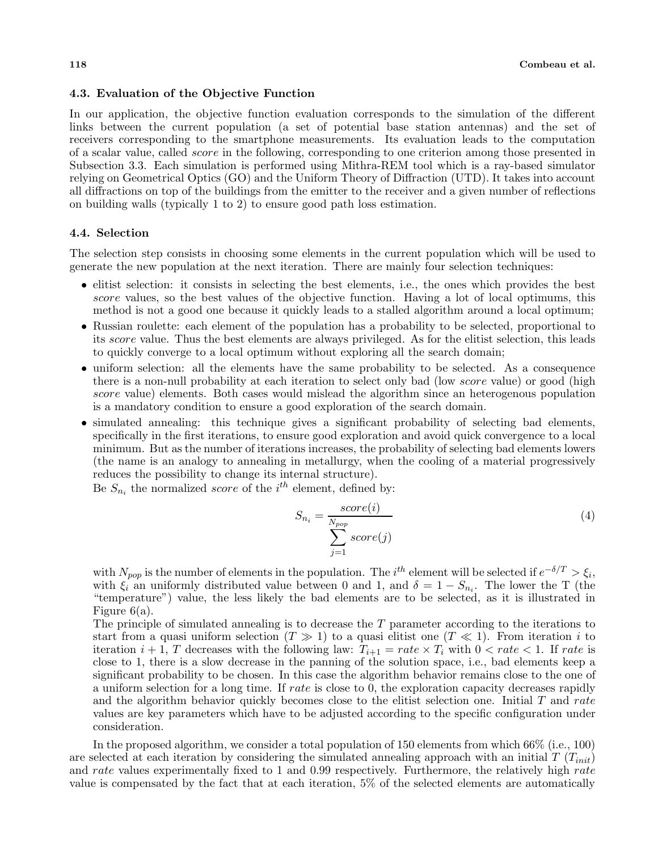#### **4.3. Evaluation of the Objective Function**

In our application, the objective function evaluation corresponds to the simulation of the different links between the current population (a set of potential base station antennas) and the set of receivers corresponding to the smartphone measurements. Its evaluation leads to the computation of a scalar value, called score in the following, corresponding to one criterion among those presented in Subsection 3.3. Each simulation is performed using Mithra-REM tool which is a ray-based simulator relying on Geometrical Optics (GO) and the Uniform Theory of Diffraction (UTD). It takes into account all diffractions on top of the buildings from the emitter to the receiver and a given number of reflections on building walls (typically 1 to 2) to ensure good path loss estimation.

#### **4.4. Selection**

The selection step consists in choosing some elements in the current population which will be used to generate the new population at the next iteration. There are mainly four selection techniques:

- elitist selection: it consists in selecting the best elements, i.e., the ones which provides the best score values, so the best values of the objective function. Having a lot of local optimums, this method is not a good one because it quickly leads to a stalled algorithm around a local optimum;
- Russian roulette: each element of the population has a probability to be selected, proportional to its score value. Thus the best elements are always privileged. As for the elitist selection, this leads to quickly converge to a local optimum without exploring all the search domain;
- uniform selection: all the elements have the same probability to be selected. As a consequence there is a non-null probability at each iteration to select only bad (low score value) or good (high score value) elements. Both cases would mislead the algorithm since an heterogenous population is a mandatory condition to ensure a good exploration of the search domain.
- simulated annealing: this technique gives a significant probability of selecting bad elements, specifically in the first iterations, to ensure good exploration and avoid quick convergence to a local minimum. But as the number of iterations increases, the probability of selecting bad elements lowers (the name is an analogy to annealing in metallurgy, when the cooling of a material progressively reduces the possibility to change its internal structure).

Be  $S_{n_i}$  the normalized *score* of the  $i^{th}$  element, defined by:

$$
S_{n_i} = \frac{score(i)}{\sum_{j=1}^{N_{pop}} score(j)} \tag{4}
$$

with  $N_{pop}$  is the number of elements in the population. The i<sup>th</sup> element will be selected if  $e^{-\delta/T} > \xi_i$ , with  $\xi_i$  an uniformly distributed value between 0 and 1, and  $\delta = 1 - S_{n_i}$ . The lower the T (the "temperature") value, the less likely the bad elements are to be selected, as it is illustrated in Figure 6(a).

The principle of simulated annealing is to decrease the T parameter according to the iterations to start from a quasi uniform selection  $(T \gg 1)$  to a quasi elitist one  $(T \ll 1)$ . From iteration *i* to iteration  $i + 1$ , T decreases with the following law:  $T_{i+1} = rate \times T_i$  with  $0 < rate < 1$ . If rate is close to 1, there is a slow decrease in the panning of the solution space, i.e., bad elements keep a significant probability to be chosen. In this case the algorithm behavior remains close to the one of a uniform selection for a long time. If rate is close to 0, the exploration capacity decreases rapidly and the algorithm behavior quickly becomes close to the elitist selection one. Initial  $T$  and rate values are key parameters which have to be adjusted according to the specific configuration under consideration.

In the proposed algorithm, we consider a total population of 150 elements from which 66% (i.e., 100) are selected at each iteration by considering the simulated annealing approach with an initial  $T(T_{init})$ and rate values experimentally fixed to 1 and 0.99 respectively. Furthermore, the relatively high rate value is compensated by the fact that at each iteration, 5% of the selected elements are automatically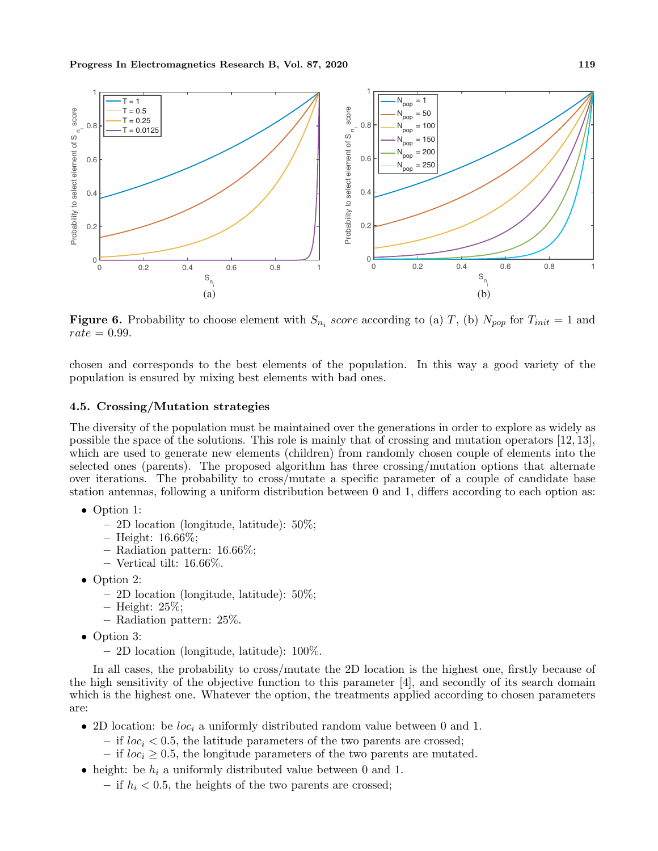

**Figure 6.** Probability to choose element with  $S_{n_i}$  score according to (a) T, (b)  $N_{pop}$  for  $T_{init} = 1$  and  $rate = 0.99$ .

chosen and corresponds to the best elements of the population. In this way a good variety of the population is ensured by mixing best elements with bad ones.

#### **4.5. Crossing/Mutation strategies**

The diversity of the population must be maintained over the generations in order to explore as widely as possible the space of the solutions. This role is mainly that of crossing and mutation operators [12, 13], which are used to generate new elements (children) from randomly chosen couple of elements into the selected ones (parents). The proposed algorithm has three crossing/mutation options that alternate over iterations. The probability to cross/mutate a specific parameter of a couple of candidate base station antennas, following a uniform distribution between 0 and 1, differs according to each option as:

- Option 1:
	- **–** 2D location (longitude, latitude): 50%;
	- **–** Height: 16.66%;
	- **–** Radiation pattern: 16.66%;
	- **–** Vertical tilt: 16.66%.
- Option 2:
	- **–** 2D location (longitude, latitude): 50%;
	- **–** Height: 25%;
	- **–** Radiation pattern: 25%.
- Option 3:
	- **–** 2D location (longitude, latitude): 100%.

In all cases, the probability to cross/mutate the 2D location is the highest one, firstly because of the high sensitivity of the objective function to this parameter [4], and secondly of its search domain which is the highest one. Whatever the option, the treatments applied according to chosen parameters are:

- 2D location: be  $loc_i$  a uniformly distributed random value between 0 and 1.
	- $-$  if  $loc<sub>i</sub> < 0.5$ , the latitude parameters of the two parents are crossed;
	- $−$  if  $loc<sub>i</sub> ≥ 0.5$ , the longitude parameters of the two parents are mutated.
- height: be  $h_i$  a uniformly distributed value between 0 and 1.
	- $-$  if  $h_i < 0.5$ , the heights of the two parents are crossed;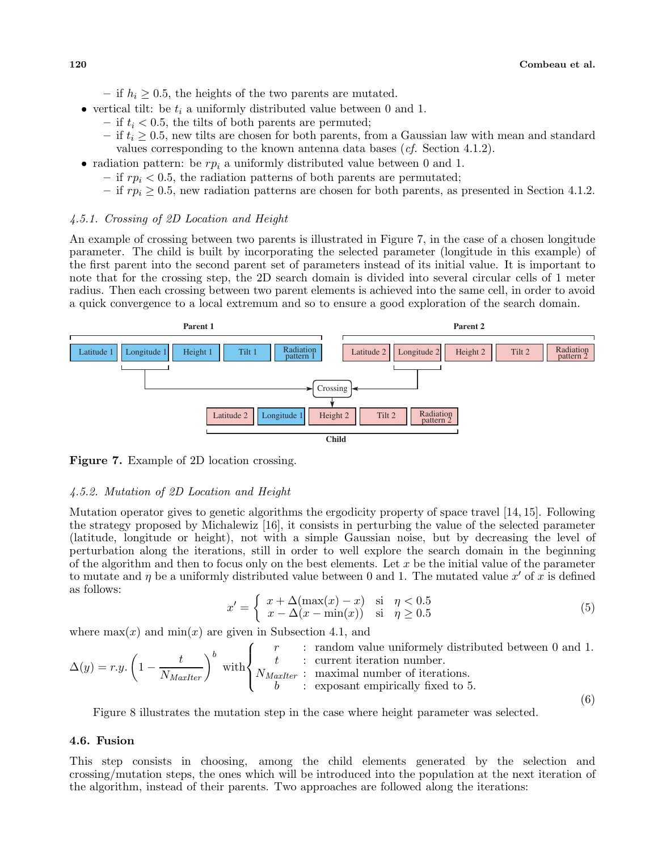- $−$  if  $h_i ≥ 0.5$ , the heights of the two parents are mutated.
- vertical tilt: be  $t_i$  a uniformly distributed value between 0 and 1.
	- $-$  if  $t_i$  < 0.5, the tilts of both parents are permuted;
	- $−$  if  $t_i ≥ 0.5$ , new tilts are chosen for both parents, from a Gaussian law with mean and standard values corresponding to the known antenna data bases (*cf.* Section 4.1.2).
- radiation pattern: be  $rp_i$  a uniformly distributed value between 0 and 1.
	- $-$  if  $rp_i < 0.5$ , the radiation patterns of both parents are permutated;
	- if  $rp_i \geq 0.5$ , new radiation patterns are chosen for both parents, as presented in Section 4.1.2.

## *4.5.1. Crossing of 2D Location and Height*

An example of crossing between two parents is illustrated in Figure 7, in the case of a chosen longitude parameter. The child is built by incorporating the selected parameter (longitude in this example) of the first parent into the second parent set of parameters instead of its initial value. It is important to note that for the crossing step, the 2D search domain is divided into several circular cells of 1 meter radius. Then each crossing between two parent elements is achieved into the same cell, in order to avoid a quick convergence to a local extremum and so to ensure a good exploration of the search domain.



**Figure 7.** Example of 2D location crossing.

#### *4.5.2. Mutation of 2D Location and Height*

Mutation operator gives to genetic algorithms the ergodicity property of space travel [14, 15]. Following the strategy proposed by Michalewiz [16], it consists in perturbing the value of the selected parameter (latitude, longitude or height), not with a simple Gaussian noise, but by decreasing the level of perturbation along the iterations, still in order to well explore the search domain in the beginning of the algorithm and then to focus only on the best elements. Let  $x$  be the initial value of the parameter to mutate and  $\eta$  be a uniformly distributed value between 0 and 1. The mutated value x' of x is defined as follows:

$$
x' = \begin{cases} x + \Delta(\max(x) - x) & \text{si } \quad \eta < 0.5\\ x - \Delta(x - \min(x)) & \text{si } \quad \eta \ge 0.5 \end{cases}
$$
(5)

where  $max(x)$  and  $min(x)$  are given in Subsection 4.1, and

$$
\Delta(y) = r.y. \left(1 - \frac{t}{N_{MaxIter}}\right)^b \text{ with } \begin{cases} r & \text{: random value uniformly distributed between 0 and 1.} \\ t & \text{: current iteration number.} \\ N_{MaxIter} & \text{: maximal number of iterations.} \\ b & \text{: exposant empirically fixed to 5.} \end{cases}
$$
 (6)

Figure 8 illustrates the mutation step in the case where height parameter was selected.

#### **4.6. Fusion**

This step consists in choosing, among the child elements generated by the selection and crossing/mutation steps, the ones which will be introduced into the population at the next iteration of the algorithm, instead of their parents. Two approaches are followed along the iterations: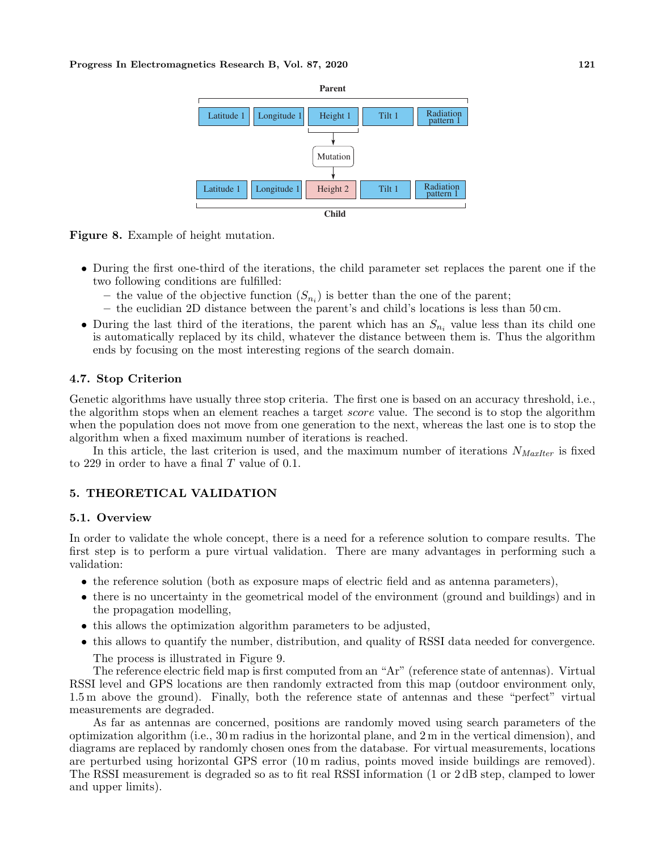#### **Progress In Electromagnetics Research B, Vol. 87, 2020** 121



**Figure 8.** Example of height mutation.

- During the first one-third of the iterations, the child parameter set replaces the parent one if the two following conditions are fulfilled:
	- the value of the objective function  $(S_n)$  is better than the one of the parent;
	- **–** the euclidian 2D distance between the parent's and child's locations is less than 50 cm.
- During the last third of the iterations, the parent which has an  $S_{n_i}$  value less than its child one is automatically replaced by its child, whatever the distance between them is. Thus the algorithm ends by focusing on the most interesting regions of the search domain.

## **4.7. Stop Criterion**

Genetic algorithms have usually three stop criteria. The first one is based on an accuracy threshold, i.e., the algorithm stops when an element reaches a target score value. The second is to stop the algorithm when the population does not move from one generation to the next, whereas the last one is to stop the algorithm when a fixed maximum number of iterations is reached.

In this article, the last criterion is used, and the maximum number of iterations N*MaxIter* is fixed to 229 in order to have a final  $T$  value of 0.1.

## **5. THEORETICAL VALIDATION**

#### **5.1. Overview**

In order to validate the whole concept, there is a need for a reference solution to compare results. The first step is to perform a pure virtual validation. There are many advantages in performing such a validation:

- the reference solution (both as exposure maps of electric field and as antenna parameters),
- there is no uncertainty in the geometrical model of the environment (ground and buildings) and in the propagation modelling,
- this allows the optimization algorithm parameters to be adjusted,
- this allows to quantify the number, distribution, and quality of RSSI data needed for convergence. The process is illustrated in Figure 9.

The reference electric field map is first computed from an "Ar" (reference state of antennas). Virtual RSSI level and GPS locations are then randomly extracted from this map (outdoor environment only, 1.5 m above the ground). Finally, both the reference state of antennas and these "perfect" virtual measurements are degraded.

As far as antennas are concerned, positions are randomly moved using search parameters of the optimization algorithm (i.e., 30 m radius in the horizontal plane, and 2 m in the vertical dimension), and diagrams are replaced by randomly chosen ones from the database. For virtual measurements, locations are perturbed using horizontal GPS error (10 m radius, points moved inside buildings are removed). The RSSI measurement is degraded so as to fit real RSSI information (1 or 2 dB step, clamped to lower and upper limits).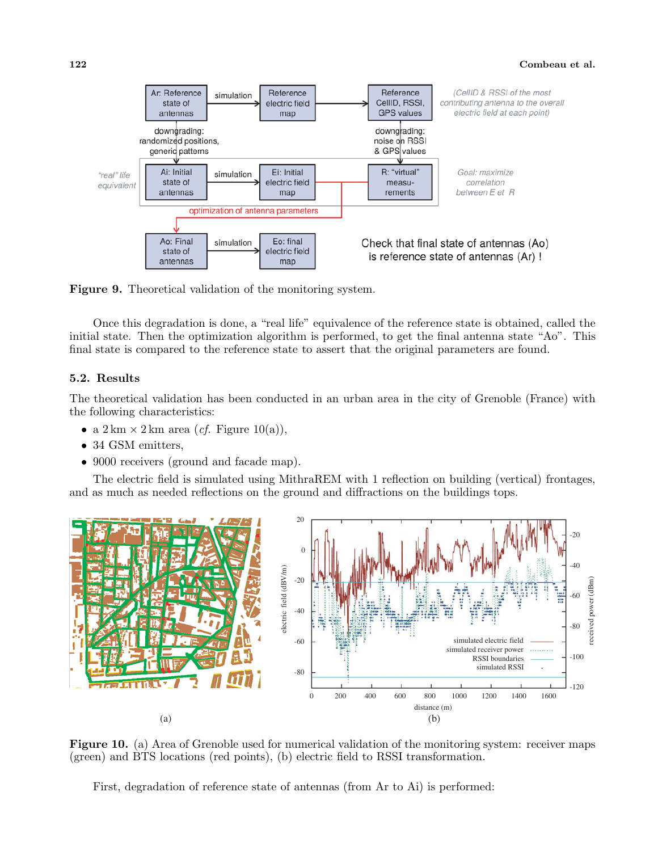

**Figure 9.** Theoretical validation of the monitoring system.

Once this degradation is done, a "real life" equivalence of the reference state is obtained, called the initial state. Then the optimization algorithm is performed, to get the final antenna state "Ao". This final state is compared to the reference state to assert that the original parameters are found.

## **5.2. Results**

The theoretical validation has been conducted in an urban area in the city of Grenoble (France) with the following characteristics:

- a  $2 \text{ km} \times 2 \text{ km}$  area (*cf.* Figure 10(a)),
- 34 GSM emitters,
- 9000 receivers (ground and facade map).

The electric field is simulated using MithraREM with 1 reflection on building (vertical) frontages, and as much as needed reflections on the ground and diffractions on the buildings tops.



**Figure 10.** (a) Area of Grenoble used for numerical validation of the monitoring system: receiver maps (green) and BTS locations (red points), (b) electric field to RSSI transformation.

First, degradation of reference state of antennas (from Ar to Ai) is performed: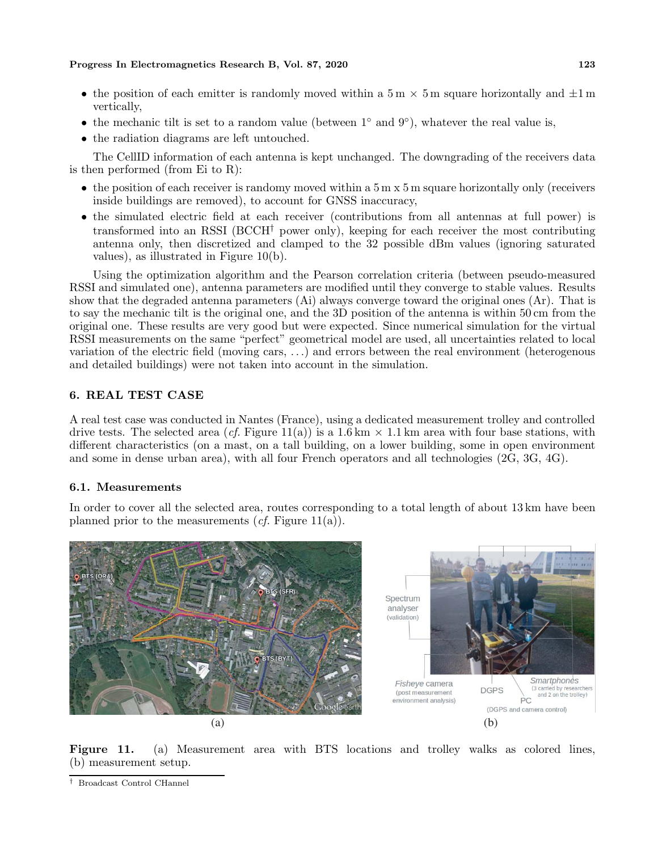- the position of each emitter is randomly moved within a  $5 \text{ m} \times 5 \text{ m}$  square horizontally and  $\pm 1 \text{ m}$ vertically,
- the mechanic tilt is set to a random value (between 1◦ and 9◦), whatever the real value is,
- the radiation diagrams are left untouched.

The CellID information of each antenna is kept unchanged. The downgrading of the receivers data is then performed (from Ei to R):

- the position of each receiver is randomy moved within a 5 m x 5 m square horizontally only (receivers inside buildings are removed), to account for GNSS inaccuracy,
- the simulated electric field at each receiver (contributions from all antennas at full power) is transformed into an RSSI ( $BCCH<sup>\dagger</sup>$  power only), keeping for each receiver the most contributing antenna only, then discretized and clamped to the 32 possible dBm values (ignoring saturated values), as illustrated in Figure 10(b).

Using the optimization algorithm and the Pearson correlation criteria (between pseudo-measured RSSI and simulated one), antenna parameters are modified until they converge to stable values. Results show that the degraded antenna parameters (Ai) always converge toward the original ones (Ar). That is to say the mechanic tilt is the original one, and the 3D position of the antenna is within 50 cm from the original one. These results are very good but were expected. Since numerical simulation for the virtual RSSI measurements on the same "perfect" geometrical model are used, all uncertainties related to local variation of the electric field (moving cars, ...) and errors between the real environment (heterogenous and detailed buildings) were not taken into account in the simulation.

# **6. REAL TEST CASE**

A real test case was conducted in Nantes (France), using a dedicated measurement trolley and controlled drive tests. The selected area  $(cf.$  Figure  $11(a)$ ) is a 1.6 km  $\times$  1.1 km area with four base stations, with different characteristics (on a mast, on a tall building, on a lower building, some in open environment and some in dense urban area), with all four French operators and all technologies (2G, 3G, 4G).

# **6.1. Measurements**

In order to cover all the selected area, routes corresponding to a total length of about 13 km have been planned prior to the measurements (*cf.* Figure 11(a)).



Figure 11. (a) Measurement area with BTS locations and trolley walks as colored lines, (b) measurement setup.

*<sup>†</sup>* Broadcast Control CHannel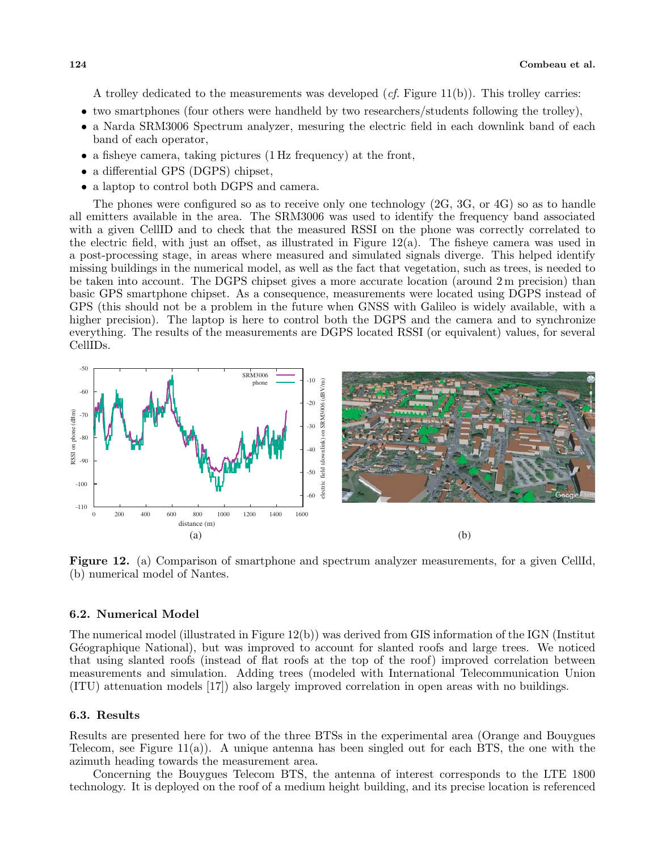A trolley dedicated to the measurements was developed (*cf.* Figure 11(b)). This trolley carries:

- two smartphones (four others were handheld by two researchers/students following the trolley),
- a Narda SRM3006 Spectrum analyzer, mesuring the electric field in each downlink band of each band of each operator,
- a fisheye camera, taking pictures (1 Hz frequency) at the front,
- a differential GPS (DGPS) chipset,
- a laptop to control both DGPS and camera.

The phones were configured so as to receive only one technology (2G, 3G, or 4G) so as to handle all emitters available in the area. The SRM3006 was used to identify the frequency band associated with a given CellID and to check that the measured RSSI on the phone was correctly correlated to the electric field, with just an offset, as illustrated in Figure 12(a). The fisheye camera was used in a post-processing stage, in areas where measured and simulated signals diverge. This helped identify missing buildings in the numerical model, as well as the fact that vegetation, such as trees, is needed to be taken into account. The DGPS chipset gives a more accurate location (around 2 m precision) than basic GPS smartphone chipset. As a consequence, measurements were located using DGPS instead of GPS (this should not be a problem in the future when GNSS with Galileo is widely available, with a higher precision). The laptop is here to control both the DGPS and the camera and to synchronize everything. The results of the measurements are DGPS located RSSI (or equivalent) values, for several CellIDs.



**Figure 12.** (a) Comparison of smartphone and spectrum analyzer measurements, for a given CellId, (b) numerical model of Nantes.

## **6.2. Numerical Model**

The numerical model (illustrated in Figure 12(b)) was derived from GIS information of the IGN (Institut Géographique National), but was improved to account for slanted roofs and large trees. We noticed that using slanted roofs (instead of flat roofs at the top of the roof) improved correlation between measurements and simulation. Adding trees (modeled with International Telecommunication Union (ITU) attenuation models [17]) also largely improved correlation in open areas with no buildings.

## **6.3. Results**

Results are presented here for two of the three BTSs in the experimental area (Orange and Bouygues Telecom, see Figure 11(a)). A unique antenna has been singled out for each BTS, the one with the azimuth heading towards the measurement area.

Concerning the Bouygues Telecom BTS, the antenna of interest corresponds to the LTE 1800 technology. It is deployed on the roof of a medium height building, and its precise location is referenced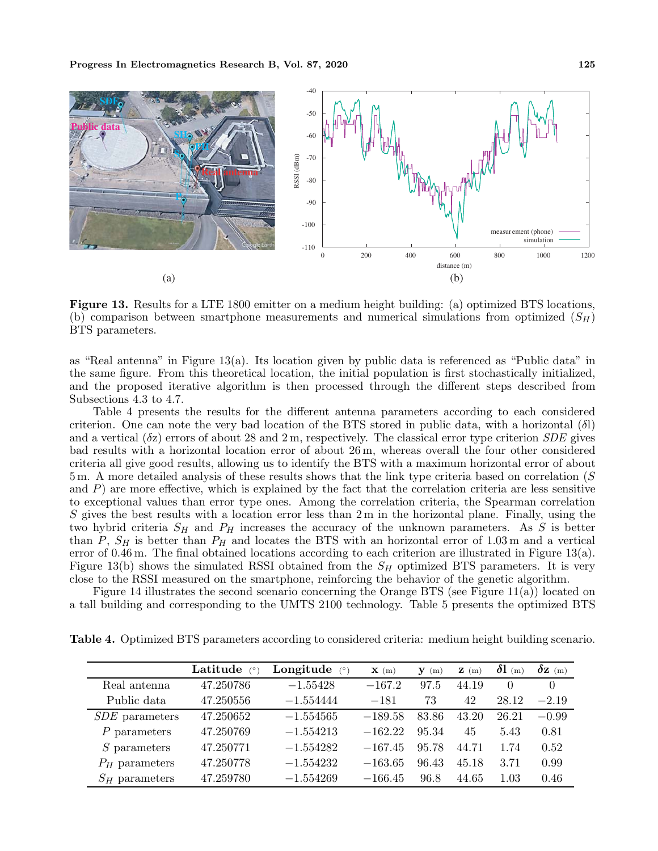

**Figure 13.** Results for a LTE 1800 emitter on a medium height building: (a) optimized BTS locations, (b) comparison between smartphone measurements and numerical simulations from optimized  $(S_H)$ BTS parameters.

as "Real antenna" in Figure 13(a). Its location given by public data is referenced as "Public data" in the same figure. From this theoretical location, the initial population is first stochastically initialized, and the proposed iterative algorithm is then processed through the different steps described from Subsections 4.3 to 4.7.

Table 4 presents the results for the different antenna parameters according to each considered criterion. One can note the very bad location of the BTS stored in public data, with a horizontal (δl) and a vertical  $(\delta z)$  errors of about 28 and 2 m, respectively. The classical error type criterion *SDE* gives bad results with a horizontal location error of about 26 m, whereas overall the four other considered criteria all give good results, allowing us to identify the BTS with a maximum horizontal error of about 5 m. A more detailed analysis of these results shows that the link type criteria based on correlation (S and  $P$ ) are more effective, which is explained by the fact that the correlation criteria are less sensitive to exceptional values than error type ones. Among the correlation criteria, the Spearman correlation S gives the best results with a location error less than  $2 \text{ m}$  in the horizontal plane. Finally, using the two hybrid criteria  $S_H$  and  $P_H$  increases the accuracy of the unknown parameters. As S is better than P,  $S_H$  is better than  $P_H$  and locates the BTS with an horizontal error of 1.03 m and a vertical error of 0.46 m. The final obtained locations according to each criterion are illustrated in Figure 13(a). Figure 13(b) shows the simulated RSSI obtained from the  $S_H$  optimized BTS parameters. It is very close to the RSSI measured on the smartphone, reinforcing the behavior of the genetic algorithm.

Figure 14 illustrates the second scenario concerning the Orange BTS (see Figure 11(a)) located on a tall building and corresponding to the UMTS 2100 technology. Table 5 presents the optimized BTS

**Table 4.** Optimized BTS parameters according to considered criteria: medium height building scenario.

|                  | ${\rm Lattice}$<br>(°) | <b>Longitude</b> $(°)$ | $\mathbf{X}$ (m) | $\mathbf{y}$ (m) | $\mathbf{Z}$ (m) | $\delta l$ (m) | $\delta z$ (m) |
|------------------|------------------------|------------------------|------------------|------------------|------------------|----------------|----------------|
| Real antenna     | 47.250786              | $-1.55428$             | $-167.2$         | 97.5             | 44.19            | $\theta$       | $\theta$       |
| Public data      | 47.250556              | $-1.554444$            | $-181$           | 73               | 42               | 28.12          | $-2.19$        |
| $SDE$ parameters | 47.250652              | $-1.554565$            | $-189.58$        | 83.86            | 43.20            | 26.21          | $-0.99$        |
| $P$ parameters   | 47.250769              | $-1.554213$            | $-162.22$        | 95.34            | 45               | 5.43           | 0.81           |
| $S$ parameters   | 47.250771              | $-1.554282$            | $-167.45$        | 95.78            | 44.71            | 1.74           | 0.52           |
| $P_H$ parameters | 47.250778              | $-1.554232$            | $-163.65$        | 96.43            | 45.18            | 3.71           | 0.99           |
| $S_H$ parameters | 47.259780              | $-1.554269$            | $-166.45$        | 96.8             | 44.65            | 1.03           | 0.46           |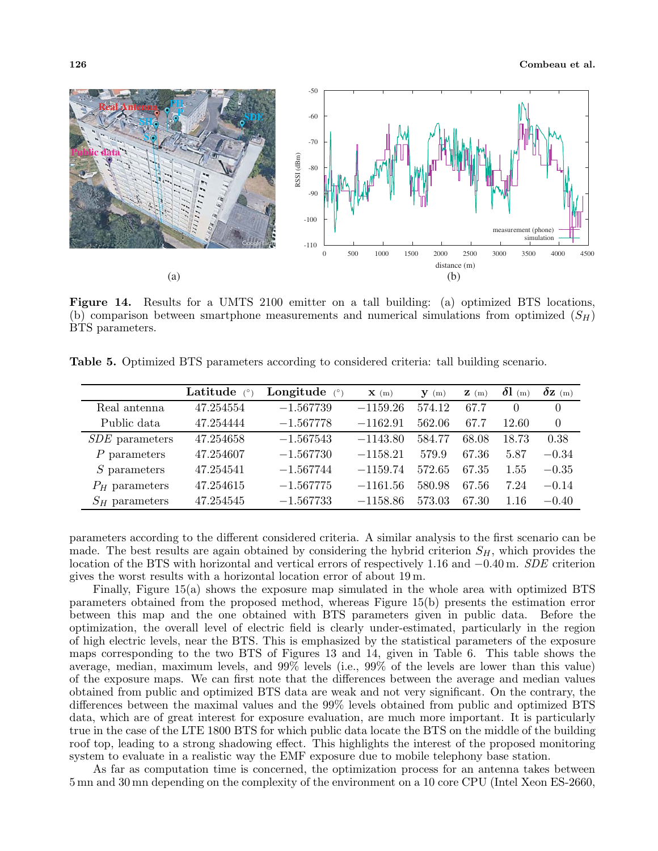

**Figure 14.** Results for a UMTS 2100 emitter on a tall building: (a) optimized BTS locations, (b) comparison between smartphone measurements and numerical simulations from optimized  $(S_H)$ BTS parameters.

**Table 5.** Optimized BTS parameters according to considered criteria: tall building scenario.

|                  | ${\rm Lattice}$<br>(°) | Longitude<br>(°) | $\mathbf{X}$ (m) | У<br>(m) | $\mathbf{Z}$ (m) | $\delta l$ (m) | $\delta z$ (m) |
|------------------|------------------------|------------------|------------------|----------|------------------|----------------|----------------|
| Real antenna     | 47.254554              | $-1.567739$      | $-1159.26$       | 574.12   | 67.7             | $^{(1)}$       | 0              |
| Public data      | 47.254444              | $-1.567778$      | $-1162.91$       | 562.06   | 67.7             | 12.60          | $\Omega$       |
| $SDE$ parameters | 47.254658              | $-1.567543$      | $-1143.80$       | 584.77   | 68.08            | 18.73          | 0.38           |
| $P$ parameters   | 47.254607              | $-1.567730$      | $-1158.21$       | 579.9    | 67.36            | 5.87           | $-0.34$        |
| $S$ parameters   | 47.254541              | $-1.567744$      | $-1159.74$       | 572.65   | 67.35            | 1.55           | $-0.35$        |
| $P_H$ parameters | 47.254615              | $-1.567775$      | $-1161.56$       | 580.98   | 67.56            | 7.24           | $-0.14$        |
| $S_H$ parameters | 47.254545              | $-1.567733$      | $-1158.86$       | 573.03   | 67.30            | 1.16           | $-0.40$        |

parameters according to the different considered criteria. A similar analysis to the first scenario can be made. The best results are again obtained by considering the hybrid criterion  $S_H$ , which provides the location of the BTS with horizontal and vertical errors of respectively 1.16 and −0.40 m. *SDE* criterion gives the worst results with a horizontal location error of about 19 m.

Finally, Figure 15(a) shows the exposure map simulated in the whole area with optimized BTS parameters obtained from the proposed method, whereas Figure 15(b) presents the estimation error between this map and the one obtained with BTS parameters given in public data. Before the optimization, the overall level of electric field is clearly under-estimated, particularly in the region of high electric levels, near the BTS. This is emphasized by the statistical parameters of the exposure maps corresponding to the two BTS of Figures 13 and 14, given in Table 6. This table shows the average, median, maximum levels, and 99% levels (i.e., 99% of the levels are lower than this value) of the exposure maps. We can first note that the differences between the average and median values obtained from public and optimized BTS data are weak and not very significant. On the contrary, the differences between the maximal values and the 99% levels obtained from public and optimized BTS data, which are of great interest for exposure evaluation, are much more important. It is particularly true in the case of the LTE 1800 BTS for which public data locate the BTS on the middle of the building roof top, leading to a strong shadowing effect. This highlights the interest of the proposed monitoring system to evaluate in a realistic way the EMF exposure due to mobile telephony base station.

As far as computation time is concerned, the optimization process for an antenna takes between 5 mn and 30 mn depending on the complexity of the environment on a 10 core CPU (Intel Xeon ES-2660,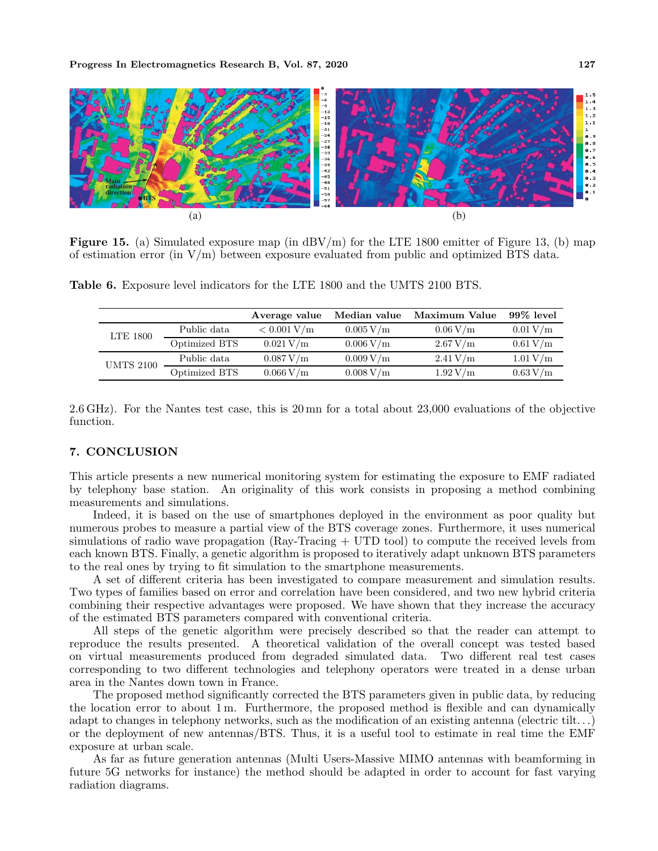

**Figure 15.** (a) Simulated exposure map (in dBV/m) for the LTE 1800 emitter of Figure 13, (b) map of estimation error (in  $V/m$ ) between exposure evaluated from public and optimized BTS data.

|                  |               | Average value |           | Median value Maximum Value | 99% level            |
|------------------|---------------|---------------|-----------|----------------------------|----------------------|
| LTE 1800         | Public data   | < 0.001 V/m   | 0.005 V/m | $0.06\,\mathrm{V/m}$       | 0.01 V/m             |
|                  | Optimized BTS | 0.021 V/m     | 0.006 V/m | 2.67 V/m                   | $0.61\,\mathrm{V/m}$ |
| <b>UMTS 2100</b> | Public data   | 0.087 V/m     | 0.009 V/m | 2.41 V/m                   | 1.01 V/m             |
|                  | Optimized BTS | 0.066 V/m     | 0.008 V/m | 1.92 V/m                   | $0.63\,\mathrm{V/m}$ |

**Table 6.** Exposure level indicators for the LTE 1800 and the UMTS 2100 BTS.

2.6 GHz). For the Nantes test case, this is 20 mn for a total about 23,000 evaluations of the objective function.

## **7. CONCLUSION**

This article presents a new numerical monitoring system for estimating the exposure to EMF radiated by telephony base station. An originality of this work consists in proposing a method combining measurements and simulations.

Indeed, it is based on the use of smartphones deployed in the environment as poor quality but numerous probes to measure a partial view of the BTS coverage zones. Furthermore, it uses numerical simulations of radio wave propagation (Ray-Tracing + UTD tool) to compute the received levels from each known BTS. Finally, a genetic algorithm is proposed to iteratively adapt unknown BTS parameters to the real ones by trying to fit simulation to the smartphone measurements.

A set of different criteria has been investigated to compare measurement and simulation results. Two types of families based on error and correlation have been considered, and two new hybrid criteria combining their respective advantages were proposed. We have shown that they increase the accuracy of the estimated BTS parameters compared with conventional criteria.

All steps of the genetic algorithm were precisely described so that the reader can attempt to reproduce the results presented. A theoretical validation of the overall concept was tested based on virtual measurements produced from degraded simulated data. Two different real test cases corresponding to two different technologies and telephony operators were treated in a dense urban area in the Nantes down town in France.

The proposed method significantly corrected the BTS parameters given in public data, by reducing the location error to about 1 m. Furthermore, the proposed method is flexible and can dynamically adapt to changes in telephony networks, such as the modification of an existing antenna (electric tilt...) or the deployment of new antennas/BTS. Thus, it is a useful tool to estimate in real time the EMF exposure at urban scale.

As far as future generation antennas (Multi Users-Massive MIMO antennas with beamforming in future 5G networks for instance) the method should be adapted in order to account for fast varying radiation diagrams.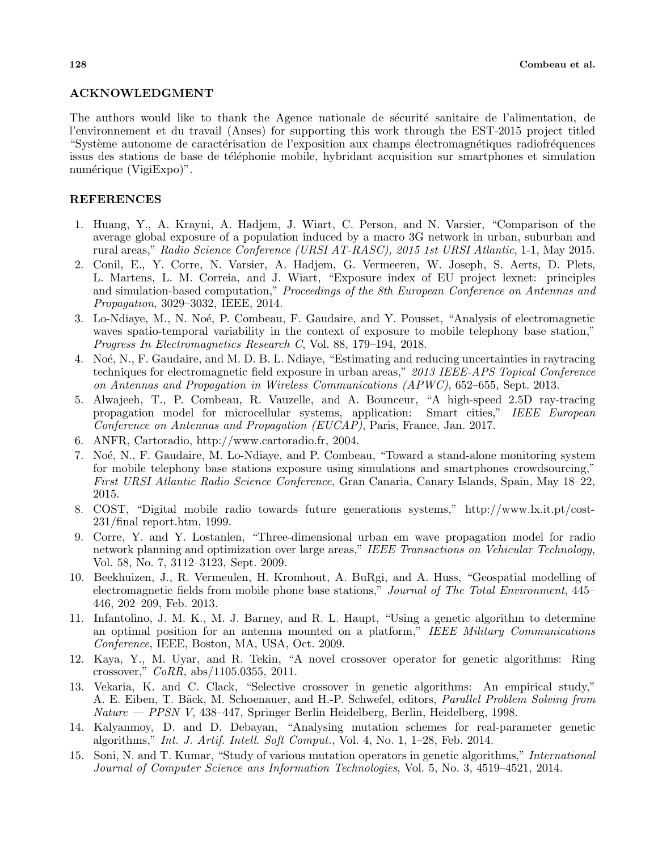#### **ACKNOWLEDGMENT**

The authors would like to thank the Agence nationale de sécurité sanitaire de l'alimentation, de l'environnement et du travail (Anses) for supporting this work through the EST-2015 project titled "Système autonome de caractérisation de l'exposition aux champs électromagnétiques radiofréquences issus des stations de base de téléphonie mobile, hybridant acquisition sur smartphones et simulation numérique (VigiExpo)".

## **REFERENCES**

- 1. Huang, Y., A. Krayni, A. Hadjem, J. Wiart, C. Person, and N. Varsier, "Comparison of the average global exposure of a population induced by a macro 3G network in urban, suburban and rural areas," *Radio Science Conference (URSI AT-RASC), 2015 1st URSI Atlantic*, 1-1, May 2015.
- 2. Conil, E., Y. Corre, N. Varsier, A. Hadjem, G. Vermeeren, W. Joseph, S. Aerts, D. Plets, L. Martens, L. M. Correia, and J. Wiart, "Exposure index of EU project lexnet: principles and simulation-based computation," *Proceedings of the 8th European Conference on Antennas and Propagation*, 3029–3032, IEEE, 2014.
- 3. Lo-Ndiaye, M., N. Noé, P. Combeau, F. Gaudaire, and Y. Pousset, "Analysis of electromagnetic waves spatio-temporal variability in the context of exposure to mobile telephony base station," *Progress In Electromagnetics Research C*, Vol. 88, 179–194, 2018.
- 4. Noé, N., F. Gaudaire, and M. D. B. L. Ndiaye, "Estimating and reducing uncertainties in raytracing techniques for electromagnetic field exposure in urban areas," *2013 IEEE-APS Topical Conference on Antennas and Propagation in Wireless Communications (APWC)*, 652–655, Sept. 2013.
- 5. Alwajeeh, T., P. Combeau, R. Vauzelle, and A. Bounceur, "A high-speed 2.5D ray-tracing propagation model for microcellular systems, application: Smart cities," *IEEE European Conference on Antennas and Propagation (EUCAP)*, Paris, France, Jan. 2017.
- 6. ANFR, Cartoradio, http://www.cartoradio.fr, 2004.
- 7. Noé, N., F. Gaudaire, M. Lo-Ndiaye, and P. Combeau, "Toward a stand-alone monitoring system for mobile telephony base stations exposure using simulations and smartphones crowdsourcing," *First URSI Atlantic Radio Science Conference*, Gran Canaria, Canary Islands, Spain, May 18–22, 2015.
- 8. COST, "Digital mobile radio towards future generations systems," http://www.lx.it.pt/cost-231/final report.htm, 1999.
- 9. Corre, Y. and Y. Lostanlen, "Three-dimensional urban em wave propagation model for radio network planning and optimization over large areas," *IEEE Transactions on Vehicular Technology*, Vol. 58, No. 7, 3112–3123, Sept. 2009.
- 10. Beekhuizen, J., R. Vermeulen, H. Kromhout, A. BuRgi, and A. Huss, "Geospatial modelling of electromagnetic fields from mobile phone base stations," *Journal of The Total Environment*, 445– 446, 202–209, Feb. 2013.
- 11. Infantolino, J. M. K., M. J. Barney, and R. L. Haupt, "Using a genetic algorithm to determine an optimal position for an antenna mounted on a platform," *IEEE Military Communications Conference*, IEEE, Boston, MA, USA, Oct. 2009.
- 12. Kaya, Y., M. Uyar, and R. Tekin, "A novel crossover operator for genetic algorithms: Ring crossover," *CoRR*, abs/1105.0355, 2011.
- 13. Vekaria, K. and C. Clack, "Selective crossover in genetic algorithms: An empirical study," A. E. Eiben, T. B¨ack, M. Schoenauer, and H.-P. Schwefel, editors, *Parallel Problem Solving from Nature — PPSN V*, 438–447, Springer Berlin Heidelberg, Berlin, Heidelberg, 1998.
- 14. Kalyanmoy, D. and D. Debayan, "Analysing mutation schemes for real-parameter genetic algorithms," *Int. J. Artif. Intell. Soft Comput.*, Vol. 4, No. 1, 1–28, Feb. 2014.
- 15. Soni, N. and T. Kumar, "Study of various mutation operators in genetic algorithms," *International Journal of Computer Science ans Information Technologies*, Vol. 5, No. 3, 4519–4521, 2014.